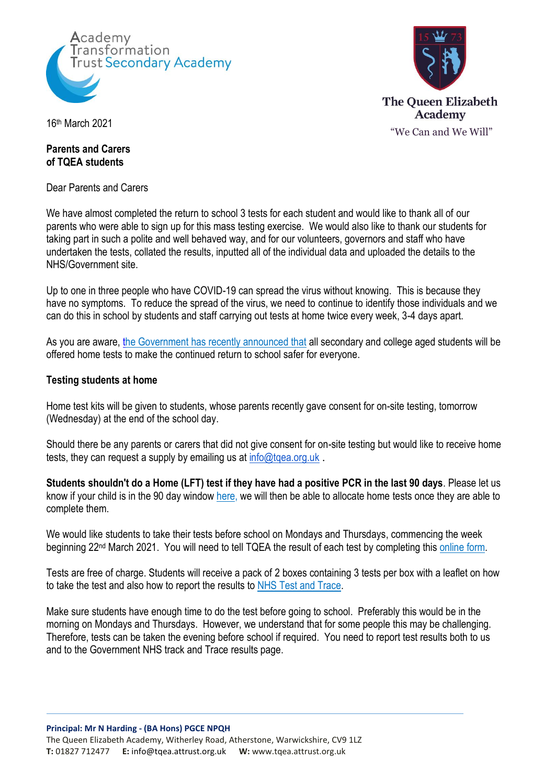



16th March 2021

## **Parents and Carers of TQEA students**

Dear Parents and Carers

We have almost completed the return to school 3 tests for each student and would like to thank all of our parents who were able to sign up for this mass testing exercise. We would also like to thank our students for taking part in such a polite and well behaved way, and for our volunteers, governors and staff who have undertaken the tests, collated the results, inputted all of the individual data and uploaded the details to the NHS/Government site.

Up to one in three people who have COVID-19 can spread the virus without knowing. This is because they have no symptoms. To reduce the spread of the virus, we need to continue to identify those individuals and we can do this in school by students and staff carrying out tests at home twice every week, 3-4 days apart.

As you are aware[, the Government has recently announced that](https://www.gov.uk/guidance/rapid-lateral-flow-testing-for-households-and-bubbles-of-school-pupils-and-staff) all secondary and college aged students will be offered home tests to make the continued return to school safer for everyone.

#### **Testing students at home**

Home test kits will be given to students, whose parents recently gave consent for on-site testing, tomorrow (Wednesday) at the end of the school day.

Should there be any parents or carers that did not give consent for on-site testing but would like to receive home tests, they can request a supply by emailing us at info@tgea.org.uk.

**Students shouldn't do a Home (LFT) test if they have had a positive PCR in the last 90 days**. Please let us know if your child is in the 90 day window [here,](https://docs.google.com/forms/d/e/1FAIpQLSdTN4Sddzd2nGa4yIhX9MURuKQsNSs9oBM8c_ZtuClJrb29LQ/viewform?vc=0&c=0&w=1&flr=0&gxids=7628) we will then be able to allocate home tests once they are able to complete them.

We would like students to take their tests before school on Mondays and Thursdays, commencing the week beginning 22nd March 2021. You will need to tell TQEA the result of each test by completing this [online form.](https://docs.google.com/forms/d/e/1FAIpQLSfwz22GYXLWw4hrxh5qDUJxkhu6JG657lNuJaylYbEFLDiPYA/viewform?vc=0&c=0&w=1&flr=0&gxids=7628)

Tests are free of charge. Students will receive a pack of 2 boxes containing 3 tests per box with a leaflet on how to take the test and also how to report the results to [NHS](https://www.gov.uk/report-covid19-result) Test and Trace.

Make sure students have enough time to do the test before going to school. Preferably this would be in the morning on Mondays and Thursdays. However, we understand that for some people this may be challenging. Therefore, tests can be taken the evening before school if required. You need to report test results both to us and to the Government NHS track and Trace results page.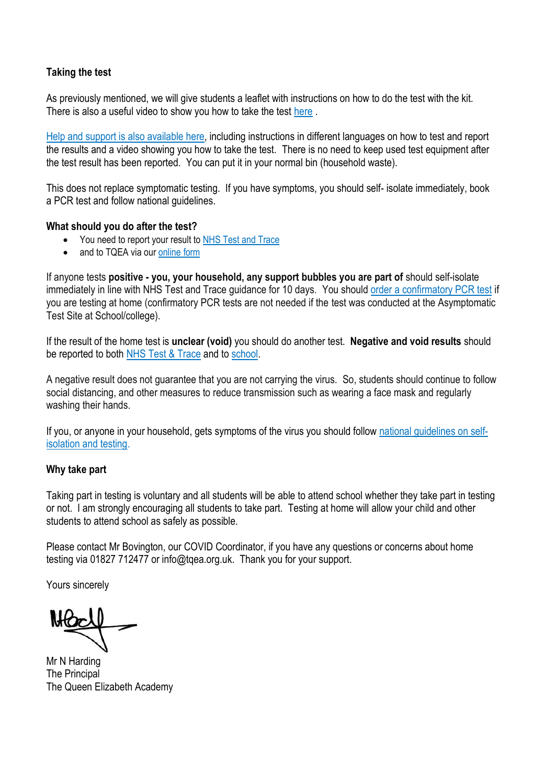## **Taking the test**

As previously mentioned, we will give students a leaflet with instructions on how to do the test with the kit. There is also a useful video to show you how to take the test [here](https://www.youtube.com/watch?v=S9XR8RZxKNo&list=PLvaBZskxS7tzQYlVg7lwH5uxAD9UrSzGJ&index=1) .

[Help and support is also available](https://www.gov.uk/guidance/covid-19-self-test-help) here, including instructions in different languages on how to test and report the results and a video showing you how to take the test. There is no need to keep used test equipment after the test result has been reported. You can put it in your normal bin (household waste).

This does not replace symptomatic testing. If you have symptoms, you should self- isolate immediately, book a [PCR test](https://www.gov.uk/get-coronavirus-test%22%20/t%20%22_blank) and follow [national guidelines.](https://www.nhs.uk/conditions/coronavirus-covid-19/symptoms/%22%20/t%20%22_blank)

#### **What should you do after the test?**

- You need to report your result t[o NHS Test and Trace](https://www.gov.uk/report-covid19-result)
- and to TQEA via our [online form](https://docs.google.com/forms/d/e/1FAIpQLSfwz22GYXLWw4hrxh5qDUJxkhu6JG657lNuJaylYbEFLDiPYA/viewform?vc=0&c=0&w=1&flr=0&gxids=7628)

If anyone tests **positive - you, your household, any support bubbles you are part of** should self-isolate immediately in line with NHS Test and Trace guidance for 10 days. You shoul[d order a confirmatory PCR test](https://www.gov.uk/get-coronavirus-test) if you are testing at home (confirmatory PCR tests are not needed if the test was conducted at the Asymptomatic Test Site at School/college).

If the result of the home test is **unclear (void)** you should do another test. **Negative and void results** should be reported to both [NHS Test & Trace](https://www.gov.uk/report-covid19-result) and to [school.](https://docs.google.com/forms/d/e/1FAIpQLSfwz22GYXLWw4hrxh5qDUJxkhu6JG657lNuJaylYbEFLDiPYA/viewform?vc=0&c=0&w=1&flr=0&gxids=7628)

A negative result does not guarantee that you are not carrying the virus. So, students should continue to follow social distancing, and other measures to reduce transmission such as wearing a face mask and regularly washing their hands.

If you, or anyone in your household, gets symptoms of the virus you should follow [national guidelines](https://www.nhs.uk/conditions/coronavirus-covid-19/symptoms/) on selfisolation and testing.

#### **Why take part**

Taking part in testing is voluntary and all students will be able to attend school whether they take part in testing or not. I am strongly encouraging all students to take part. Testing at home will allow your child and other students to attend school as safely as possible.

Please contact Mr Bovington, our COVID Coordinator, if you have any questions or concerns about home testing via 01827 712477 or info@tqea.org.uk. Thank you for your support.

Yours sincerely

Mr N Harding The Principal The Queen Elizabeth Academy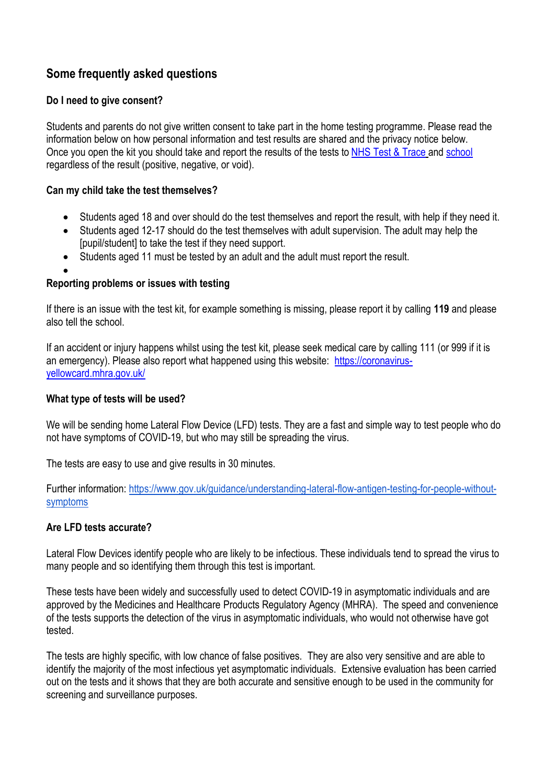# **Some frequently asked questions**

## **Do I need to give consent?**

Students and parents do not give written consent to take part in the home testing programme. Please read the information below on how personal information and test results are shared and the privacy notice below. Once you open the kit you should take and report the results of the tests to [NHS Test & Trace](https://www.gov.uk/report-covid19-result) and [school](https://docs.google.com/forms/d/e/1FAIpQLSfwz22GYXLWw4hrxh5qDUJxkhu6JG657lNuJaylYbEFLDiPYA/viewform?vc=0&c=0&w=1&flr=0&gxids=7628) regardless of the result (positive, negative, or void).

## **Can my child take the test themselves?**

- Students aged 18 and over should do the test themselves and report the result, with help if they need it.
- Students aged 12-17 should do the test themselves with adult supervision. The adult may help the [pupil/student] to take the test if they need support.
- Students aged 11 must be tested by an adult and the adult must report the result.
- $\bullet$

## **Reporting problems or issues with testing**

If there is an issue with the test kit, for example something is missing, please report it by calling **119** and please also tell the school.

If an accident or injury happens whilst using the test kit, please seek medical care by calling 111 (or 999 if it is an emergency). Please also report what happened using this website: [https://coronavirus](https://coronavirus-yellowcard.mhra.gov.uk/)[yellowcard.mhra.gov.uk/](https://coronavirus-yellowcard.mhra.gov.uk/) 

### **What type of tests will be used?**

We will be sending home Lateral Flow Device (LFD) tests. They are a fast and simple way to test people who do not have symptoms of COVID-19, but who may still be spreading the virus.

The tests are easy to use and give results in 30 minutes.

Further information: [https://www.gov.uk/guidance/understanding-lateral-flow-antigen-testing-for-people-without](https://www.gov.uk/guidance/understanding-lateral-flow-antigen-testing-for-people-without-symptoms)[symptoms](https://www.gov.uk/guidance/understanding-lateral-flow-antigen-testing-for-people-without-symptoms)

## **Are LFD tests accurate?**

Lateral Flow Devices identify people who are likely to be infectious. These individuals tend to spread the virus to many people and so identifying them through this test is important.

These tests have been widely and successfully used to detect COVID-19 in asymptomatic individuals and are approved by the Medicines and Healthcare Products Regulatory Agency (MHRA). The speed and convenience of the tests supports the detection of the virus in asymptomatic individuals, who would not otherwise have got tested.

The tests are highly specific, with low chance of false positives. They are also very sensitive and are able to identify the majority of the most infectious yet asymptomatic individuals. Extensive evaluation has been carried out on the tests and it shows that they are both accurate and sensitive enough to be used in the community for screening and surveillance purposes.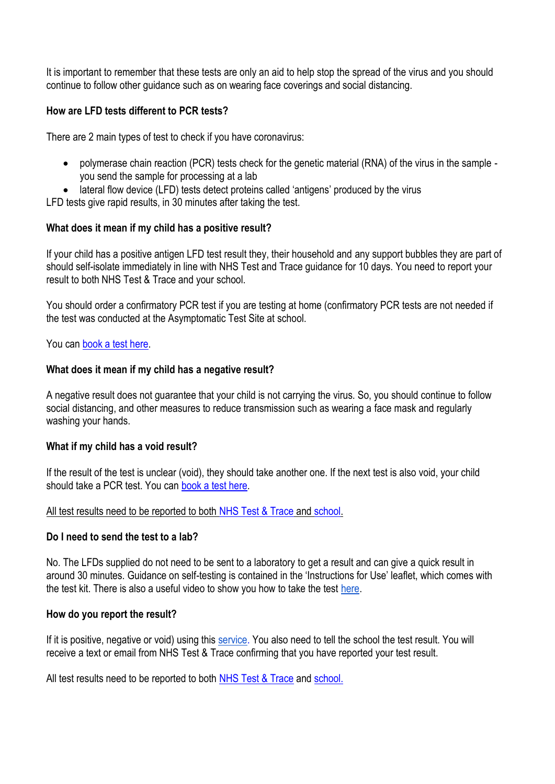It is important to remember that these tests are only an aid to help stop the spread of the virus and you should continue to follow other guidance such as on wearing face coverings and social distancing.

## **How are LFD tests different to PCR tests?**

There are 2 main types of test to check if you have coronavirus:

- polymerase chain reaction (PCR) tests check for the genetic material (RNA) of the virus in the sample you send the sample for processing at a lab
- lateral flow device (LFD) tests detect proteins called 'antigens' produced by the virus

LFD tests give rapid results, in 30 minutes after taking the test.

#### **What does it mean if my child has a positive result?**

If your child has a positive antigen LFD test result they, their household and any support bubbles they are part of should self-isolate immediately in line with [NHS Test and Trace guidance](https://www.gov.uk/government/publications/covid-19-stay-at-home-guidance%22%20/t%20%22_blank) for 10 days. You need to report your result to both [NHS Test & Trace](https://www.gov.uk/report-covid19-result) and your school.

You should order a confirmatory PCR test if you are testing at home (confirmatory PCR tests are not needed if the test was conducted at the Asymptomatic Test Site at school.

You can [book a test here.](https://www.gov.uk/get-coronavirus-test)

#### **What does it mean if my child has a negative result?**

A negative result does not guarantee that your child is not carrying the virus. So, you should continue to follow social distancing, and other measures to reduce transmission such as wearing a face mask and regularly washing your hands.

#### **What if my child has a void result?**

If the result of the test is unclear (void), they should take another one. If the next test is also void, your child should take a PCR test. You can [book a test here.](https://www.gov.uk/get-coronavirus-test)

All test results need to be reported to both [NHS Test & Trace](https://www.gov.uk/report-covid19-result) and [school.](https://docs.google.com/forms/d/e/1FAIpQLSfwz22GYXLWw4hrxh5qDUJxkhu6JG657lNuJaylYbEFLDiPYA/viewform?vc=0&c=0&w=1&flr=0&gxids=7628)

#### **Do I need to send the test to a lab?**

No. The LFDs supplied do not need to be sent to a laboratory to get a result and can give a quick result in around 30 minutes. Guidance on self-testing is contained in the 'Instructions for Use' leaflet, which comes with the test kit. There is also a useful video to show you how to take the test [here.](https://www.youtube.com/watch?v=S9XR8RZxKNo&list=PLvaBZskxS7tzQYlVg7lwH5uxAD9UrSzGJ&index=1)

#### **How do you report the result?**

If it is positive, negative or void) using this [service.](https://www.gov.uk/report-covid19-result) You also need to tell the school the test result. You will receive a text or email from NHS Test & Trace confirming that you have reported your test result.

All test results need to be reported to both [NHS Test & Trace](https://www.gov.uk/report-covid19-result) and [school.](https://docs.google.com/forms/d/e/1FAIpQLSfwz22GYXLWw4hrxh5qDUJxkhu6JG657lNuJaylYbEFLDiPYA/viewform?vc=0&c=0&w=1&flr=0&gxids=7628)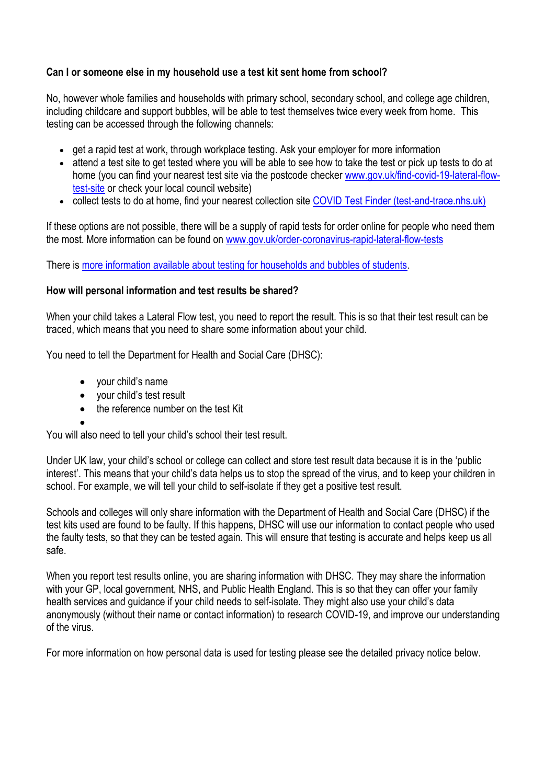## **Can I or someone else in my household use a test kit sent home from school?**

No, however whole families and households with primary school, secondary school, and college age children, including childcare and support bubbles, will be able to test themselves twice every week from home. This testing can be accessed through the following channels:

- get a rapid test at work, through workplace testing. Ask your employer for more information
- attend a test site to get tested where you will be able to see how to take the test or pick up tests to do at home (you can find your nearest test site via the postcode checker [www.gov.uk/find-covid-19-lateral-flow](http://www.gov.uk/find-covid-19-lateral-flow-test-site)[test-site](http://www.gov.uk/find-covid-19-lateral-flow-test-site) or check your local council website)
- collect tests to do at home, find your nearest collection site [COVID Test Finder \(test-and-trace.nhs.uk\)](https://find-covid-19-rapid-test-sites.maps.test-and-trace.nhs.uk/)

If these options are not possible, there will be a supply of rapid tests for order online for people who need them the most. More information can be found on [www.gov.uk/order-coronavirus-rapid-lateral-flow-tests](http://www.gov.uk/order-coronavirus-rapid-lateral-flow-tests)

There is [more information available about testing for households and bubbles of students.](https://www.gov.uk/guidance/rapid-lateral-flow-testing-for-households-and-bubbles-of-school-pupils-and-staff)

#### **How will personal information and test results be shared?**

When your child takes a Lateral Flow test, you need to report the result. This is so that their test result can be traced, which means that you need to share some information about your child.

You need to tell the Department for Health and Social Care (DHSC):

- your child's name
- vour child's test result
- the reference number on the test Kit

 $\bullet$ 

You will also need to tell your child's school their test result.

Under UK law, your child's school or college can collect and store test result data because it is in the 'public interest'. This means that your child's data helps us to stop the spread of the virus, and to keep your children in school. For example, we will tell your child to self-isolate if they get a positive test result.

Schools and colleges will only share information with the Department of Health and Social Care (DHSC) if the test kits used are found to be faulty. If this happens, DHSC will use our information to contact people who used the faulty tests, so that they can be tested again. This will ensure that testing is accurate and helps keep us all safe.

When you report test results online, you are sharing information with DHSC. They may share the information with your GP, local government, NHS, and Public Health England. This is so that they can offer your family health services and guidance if your child needs to self-isolate. They might also use your child's data anonymously (without their name or contact information) to research COVID-19, and improve our understanding of the virus.

For more information on how personal data is used for testing please see the detailed privacy notice below.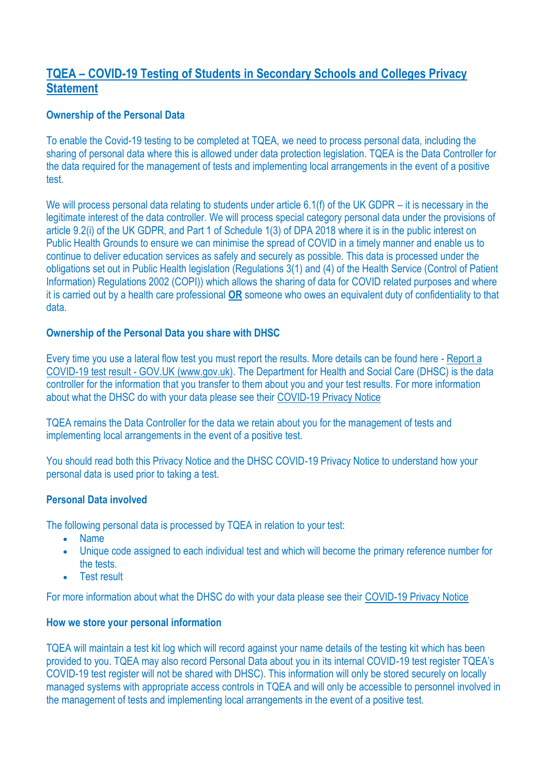## **TQEA – COVID-19 Testing of Students in Secondary Schools and Colleges Privacy Statement**

### **Ownership of the Personal Data**

To enable the Covid-19 testing to be completed at TQEA, we need to process personal data, including the sharing of personal data where this is allowed under data protection legislation. TQEA is the Data Controller for the data required for the management of tests and implementing local arrangements in the event of a positive test.

We will process personal data relating to students under article 6.1(f) of the UK GDPR – it is necessary in the legitimate interest of the data controller. We will process special category personal data under the provisions of article 9.2(i) of the UK GDPR, and Part 1 of Schedule 1(3) of DPA 2018 where it is in the public interest on Public Health Grounds to ensure we can minimise the spread of COVID in a timely manner and enable us to continue to deliver education services as safely and securely as possible. This data is processed under the obligations set out in Public Health legislation (Regulations 3(1) and (4) of the Health Service (Control of Patient Information) Regulations 2002 (COPI)) which allows the sharing of data for COVID related purposes and where it is carried out by a health care professional **OR** someone who owes an equivalent duty of confidentiality to that data.

#### **Ownership of the Personal Data you share with DHSC**

Every time you use a lateral flow test you must report the results. More details can be found here - [Report a](https://www.gov.uk/report-covid19-result)  COVID-19 test result - [GOV.UK \(www.gov.uk\).](https://www.gov.uk/report-covid19-result) The Department for Health and Social Care (DHSC) is the data controller for the information that you transfer to them about you and your test results. For more information about what the DHSC do with your data please see their [COVID-19 Privacy Notice](https://www.gov.uk/government/publications/coronavirus-covid-19-testing-privacy-information)

TQEA remains the Data Controller for the data we retain about you for the management of tests and implementing local arrangements in the event of a positive test.

You should read both this Privacy Notice and the DHSC COVID-19 Privacy Notice to understand how your personal data is used prior to taking a test.

#### **Personal Data involved**

The following personal data is processed by TQEA in relation to your test:

- Name
- Unique code assigned to each individual test and which will become the primary reference number for the tests.
- Test result

For more information about what the DHSC do with your data please see their [COVID-19 Privacy Notice](https://www.gov.uk/government/publications/coronavirus-covid-19-testing-privacy-information)

#### **How we store your personal information**

TQEA will maintain a test kit log which will record against your name details of the testing kit which has been provided to you. TQEA may also record Personal Data about you in its internal COVID-19 test register TQEA's COVID-19 test register will not be shared with DHSC). This information will only be stored securely on locally managed systems with appropriate access controls in TQEA and will only be accessible to personnel involved in the management of tests and implementing local arrangements in the event of a positive test.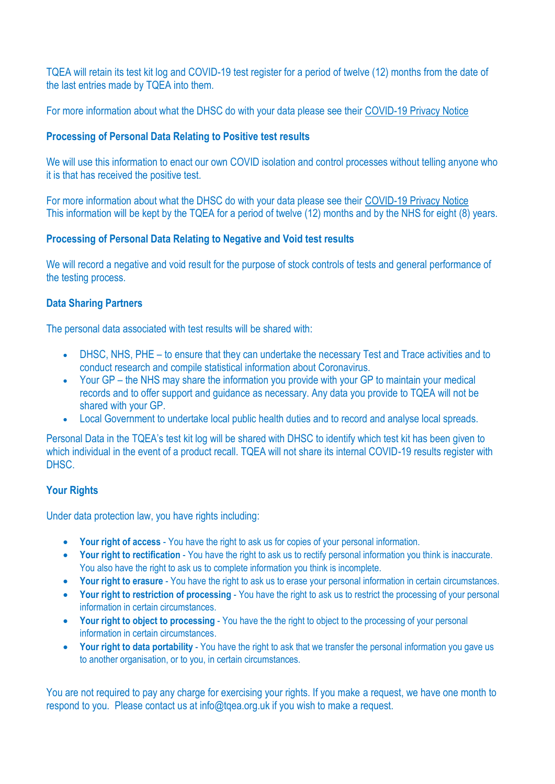TQEA will retain its test kit log and COVID-19 test register for a period of twelve (12) months from the date of the last entries made by TQEA into them.

For more information about what the DHSC do with your data please see their [COVID-19 Privacy Notice](https://www.gov.uk/government/publications/coronavirus-covid-19-testing-privacy-information)

### **Processing of Personal Data Relating to Positive test results**

We will use this information to enact our own COVID isolation and control processes without telling anyone who it is that has received the positive test.

For more information about what the DHSC do with your data please see their [COVID-19 Privacy Notice](https://www.gov.uk/government/publications/coronavirus-covid-19-testing-privacy-information) This information will be kept by the TQEA for a period of twelve (12) months and by the NHS for eight (8) years.

## **Processing of Personal Data Relating to Negative and Void test results**

We will record a negative and void result for the purpose of stock controls of tests and general performance of the testing process.

## **Data Sharing Partners**

The personal data associated with test results will be shared with:

- DHSC, NHS, PHE to ensure that they can undertake the necessary Test and Trace activities and to conduct research and compile statistical information about Coronavirus.
- Your GP the NHS may share the information you provide with your GP to maintain your medical records and to offer support and guidance as necessary. Any data you provide to TQEA will not be shared with your GP.
- Local Government to undertake local public health duties and to record and analyse local spreads.

Personal Data in the TQEA's test kit log will be shared with DHSC to identify which test kit has been given to which individual in the event of a product recall. TQEA will not share its internal COVID-19 results register with DHSC.

#### **Your Rights**

Under data protection law, you have rights including:

- **Your right of access** You have the right to ask us for copies of your personal information.
- **Your right to rectification** You have the right to ask us to rectify personal information you think is inaccurate. You also have the right to ask us to complete information you think is incomplete.
- **Your right to erasure** You have the right to ask us to erase your personal information in certain circumstances.
- **Your right to restriction of processing** You have the right to ask us to restrict the processing of your personal information in certain circumstances.
- **Your right to object to processing** You have the the right to object to the processing of your personal information in certain circumstances.
- **Your right to data portability** You have the right to ask that we transfer the personal information you gave us to another organisation, or to you, in certain circumstances.

You are not required to pay any charge for exercising your rights. If you make a request, we have one month to respond to you. Please contact us at info@tgea.org.uk if you wish to make a request.